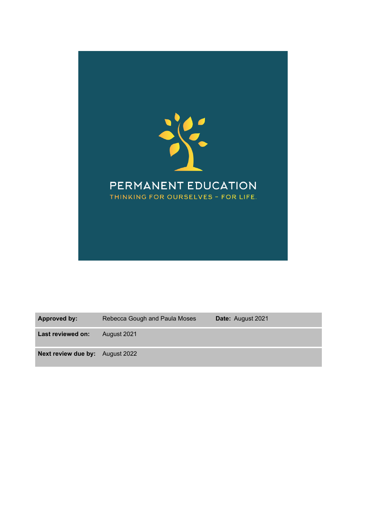

**Approved by:** Rebecca Gough and Paula Moses **Date:** August 2021 **Last reviewed on:** August 2021 **Next review due by:** August 2022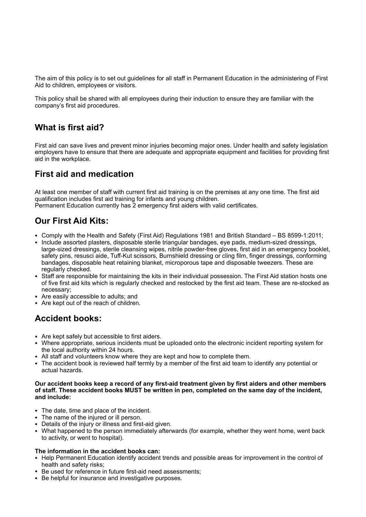The aim of this policy is to set out guidelines for all staff in Permanent Education in the administering of First Aid to children, employees or visitors.

This policy shall be shared with all employees during their induction to ensure they are familiar with the company's first aid procedures.

#### **What is first aid?**

First aid can save lives and prevent minor injuries becoming major ones. Under health and safety legislation employers have to ensure that there are adequate and appropriate equipment and facilities for providing first aid in the workplace.

#### **First aid and medication**

At least one member of staff with current first aid training is on the premises at any one time. The first aid qualification includes first aid training for infants and young children. Permanent Education currently has 2 emergency first aiders with valid certificates.

## **Our First Aid Kits:**

- Comply with the Health and Safety (First Aid) Regulations 1981 and British Standard BS 8599-1:2011;
- Include assorted plasters, disposable sterile triangular bandages, eye pads, medium-sized dressings, large-sized dressings, sterile cleansing wipes, nitrile powder-free gloves, first aid in an emergency booklet, safety pins, resusci aide, Tuff-Kut scissors, Burnshield dressing or cling film, finger dressings, conforming bandages, disposable heat retaining blanket, microporous tape and disposable tweezers. These are regularly checked.
- Staff are responsible for maintaining the kits in their individual possession. The First Aid station hosts one of five first aid kits which is regularly checked and restocked by the first aid team. These are re-stocked as necessary;
- Are easily accessible to adults; and
- Are kept out of the reach of children.

# **Accident books:**

- Are kept safely but accessible to first aiders.
- Where appropriate, serious incidents must be uploaded onto the electronic incident reporting system for the local authority within 24 hours.
- All staff and volunteers know where they are kept and how to complete them.
- The accident book is reviewed half termly by a member of the first aid team to identify any potential or actual hazards.

#### **Our accident books keep a record of any first-aid treatment given by first aiders and other members of staff. These accident books MUST be written in pen, completed on the same day of the incident, and include:**

- The date, time and place of the incident.
- The name of the injured or ill person.
- Details of the injury or illness and first-aid given.
- What happened to the person immediately afterwards (for example, whether they went home, went back to activity, or went to hospital).

#### **The information in the accident books can:**

- Help Permanent Education identify accident trends and possible areas for improvement in the control of health and safety risks;
- Be used for reference in future first-aid need assessments;
- Be helpful for insurance and investigative purposes.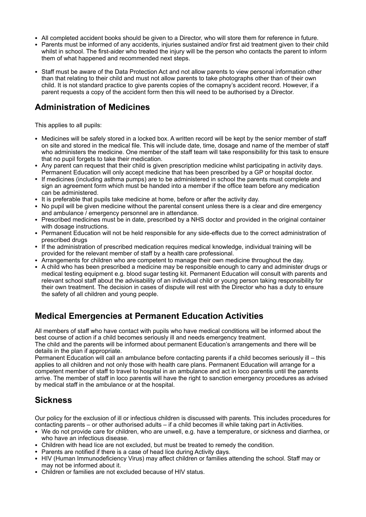- All completed accident books should be given to a Director, who will store them for reference in future.
- Parents must be informed of any accidents, injuries sustained and/or first aid treatment given to their child whilst in school. The first-aider who treated the injury will be the person who contacts the parent to inform them of what happened and recommended next steps.
- Staff must be aware of the Data Protection Act and not allow parents to view personal information other than that relating to their child and must not allow parents to take photographs other than of their own child. It is not standard practice to give parents copies of the comapny's accident record. However, if a parent requests a copy of the accident form then this will need to be authorised by a Director.

## **Administration of Medicines**

This applies to all pupils:

- Medicines will be safely stored in a locked box. A written record will be kept by the senior member of staff on site and stored in the medical file. This will include date, time, dosage and name of the member of staff who administers the medicine. One member of the staff team will take responsibility for this task to ensure that no pupil forgets to take their medication.
- Any parent can request that their child is given prescription medicine whilst participating in activity days. Permanent Education will only accept medicine that has been prescribed by a GP or hospital doctor.
- If medicines (including asthma pumps) are to be administered in school the parents must complete and sign an agreement form which must be handed into a member if the office team before any medication can be administered.
- It is preferable that pupils take medicine at home, before or after the activity day.
- No pupil will be given medicine without the parental consent unless there is a clear and dire emergency and ambulance / emergency personnel are in attendance.
- Prescribed medicines must be in date, prescribed by a NHS doctor and provided in the original container with dosage instructions.
- Permanent Education will not be held responsible for any side-effects due to the correct administration of prescribed drugs
- If the administration of prescribed medication requires medical knowledge, individual training will be provided for the relevant member of staff by a health care professional.
- Arrangements for children who are competent to manage their own medicine throughout the day.
- A child who has been prescribed a medicine may be responsible enough to carry and administer drugs or medical testing equipment e.g. blood sugar testing kit. Permanent Education will consult with parents and relevant school staff about the advisability of an individual child or young person taking responsibility for their own treatment. The decision in cases of dispute will rest with the Director who has a duty to ensure the safety of all children and young people.

#### **Medical Emergencies at Permanent Education Activities**

All members of staff who have contact with pupils who have medical conditions will be informed about the best course of action if a child becomes seriously ill and needs emergency treatment.

The child and the parents will be informed about permanent Education's arrangements and there will be details in the plan if appropriate.

Permanent Education will call an ambulance before contacting parents if a child becomes seriously ill – this applies to all children and not only those with health care plans. Permanent Education will arrange for a competent member of staff to travel to hospital in an ambulance and act in loco parentis until the parents arrive. The member of staff in loco parentis will have the right to sanction emergency procedures as advised by medical staff in the ambulance or at the hospital.

#### **Sickness**

Our policy for the exclusion of ill or infectious children is discussed with parents. This includes procedures for contacting parents – or other authorised adults – if a child becomes ill while taking part in Activities.

- We do not provide care for children, who are unwell, e.g. have a temperature, or sickness and diarrhea, or who have an infectious disease.
- Children with head lice are not excluded, but must be treated to remedy the condition.
- Parents are notified if there is a case of head lice during Activity days.
- HIV (Human Immunodeficiency Virus) may affect children or families attending the school. Staff may or may not be informed about it.
- Children or families are not excluded because of HIV status.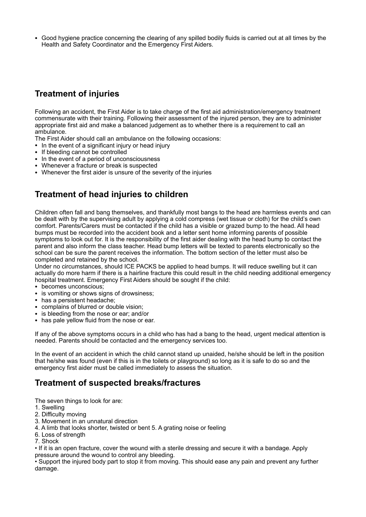• Good hygiene practice concerning the clearing of any spilled bodily fluids is carried out at all times by the Health and Safety Coordinator and the Emergency First Aiders.

# **Treatment of injuries**

Following an accident, the First Aider is to take charge of the first aid administration/emergency treatment commensurate with their training. Following their assessment of the injured person, they are to administer appropriate first aid and make a balanced judgement as to whether there is a requirement to call an ambulance.

- The First Aider should call an ambulance on the following occasions:
- In the event of a significant injury or head injury
- If bleeding cannot be controlled
- In the event of a period of unconsciousness
- Whenever a fracture or break is suspected
- Whenever the first aider is unsure of the severity of the injuries

## **Treatment of head injuries to children**

Children often fall and bang themselves, and thankfully most bangs to the head are harmless events and can be dealt with by the supervising adult by applying a cold compress (wet tissue or cloth) for the child's own comfort. Parents/Carers must be contacted if the child has a visible or grazed bump to the head. All head bumps must be recorded into the accident book and a letter sent home informing parents of possible symptoms to look out for. It is the responsibility of the first aider dealing with the head bump to contact the parent and also inform the class teacher. Head bump letters will be texted to parents electronically so the school can be sure the parent receives the information. The bottom section of the letter must also be completed and retained by the school.

Under no circumstances, should ICE PACKS be applied to head bumps. It will reduce swelling but it can actually do more harm if there is a hairline fracture this could result in the child needing additional emergency hospital treatment. Emergency First Aiders should be sought if the child:

- becomes unconscious;
- is vomiting or shows signs of drowsiness;
- has a persistent headache:
- complains of blurred or double vision;
- is bleeding from the nose or ear; and/or
- has pale yellow fluid from the nose or ear.

If any of the above symptoms occurs in a child who has had a bang to the head, urgent medical attention is needed. Parents should be contacted and the emergency services too.

In the event of an accident in which the child cannot stand up unaided, he/she should be left in the position that he/she was found (even if this is in the toilets or playground) so long as it is safe to do so and the emergency first aider must be called immediately to assess the situation.

## **Treatment of suspected breaks/fractures**

The seven things to look for are:

- 1. Swelling
- 2. Difficulty moving
- 3. Movement in an unnatural direction
- 4. A limb that looks shorter, twisted or bent 5. A grating noise or feeling
- 6. Loss of strength
- 7. Shock

• If it is an open fracture, cover the wound with a sterile dressing and secure it with a bandage. Apply pressure around the wound to control any bleeding.

• Support the injured body part to stop it from moving. This should ease any pain and prevent any further damage.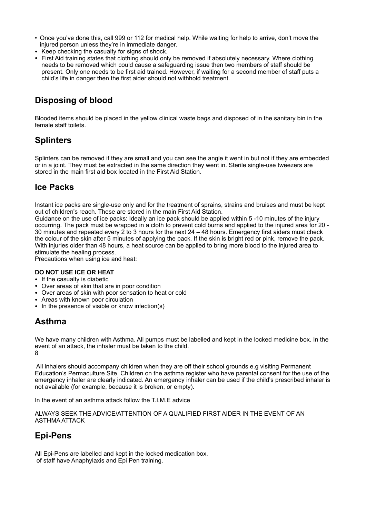- Once you've done this, call 999 or 112 for medical help. While waiting for help to arrive, don't move the injured person unless they're in immediate danger.
- Keep checking the casualty for signs of shock.
- First Aid training states that clothing should only be removed if absolutely necessary. Where clothing needs to be removed which could cause a safeguarding issue then two members of staff should be present. Only one needs to be first aid trained. However, if waiting for a second member of staff puts a child's life in danger then the first aider should not withhold treatment.

## **Disposing of blood**

Blooded items should be placed in the yellow clinical waste bags and disposed of in the sanitary bin in the female staff toilets.

## **Splinters**

Splinters can be removed if they are small and you can see the angle it went in but not if they are embedded or in a joint. They must be extracted in the same direction they went in. Sterile single-use tweezers are stored in the main first aid box located in the First Aid Station.

#### **Ice Packs**

Instant ice packs are single-use only and for the treatment of sprains, strains and bruises and must be kept out of children's reach. These are stored in the main First Aid Station.

Guidance on the use of ice packs: Ideally an ice pack should be applied within 5 -10 minutes of the injury occurring. The pack must be wrapped in a cloth to prevent cold burns and applied to the injured area for 20 - 30 minutes and repeated every 2 to 3 hours for the next 24 – 48 hours. Emergency first aiders must check the colour of the skin after 5 minutes of applying the pack. If the skin is bright red or pink, remove the pack. With injuries older than 48 hours, a heat source can be applied to bring more blood to the injured area to stimulate the healing process.

Precautions when using ice and heat:

#### **DO NOT USE ICE OR HEAT**

- If the casualty is diabetic
- Over areas of skin that are in poor condition
- Over areas of skin with poor sensation to heat or cold
- Areas with known poor circulation
- In the presence of visible or know infection(s)

## **Asthma**

We have many children with Asthma. All pumps must be labelled and kept in the locked medicine box. In the event of an attack, the inhaler must be taken to the child. 8

 All inhalers should accompany children when they are off their school grounds e.g visiting Permanent Education's Permaculture Site. Children on the asthma register who have parental consent for the use of the emergency inhaler are clearly indicated. An emergency inhaler can be used if the child's prescribed inhaler is not available (for example, because it is broken, or empty).

In the event of an asthma attack follow the T.I.M.E advice

ALWAYS SEEK THE ADVICE/ATTENTION OF A QUALIFIED FIRST AIDER IN THE EVENT OF AN ASTHMA ATTACK

# **Epi-Pens**

All Epi-Pens are labelled and kept in the locked medication box. of staff have Anaphylaxis and Epi Pen training.